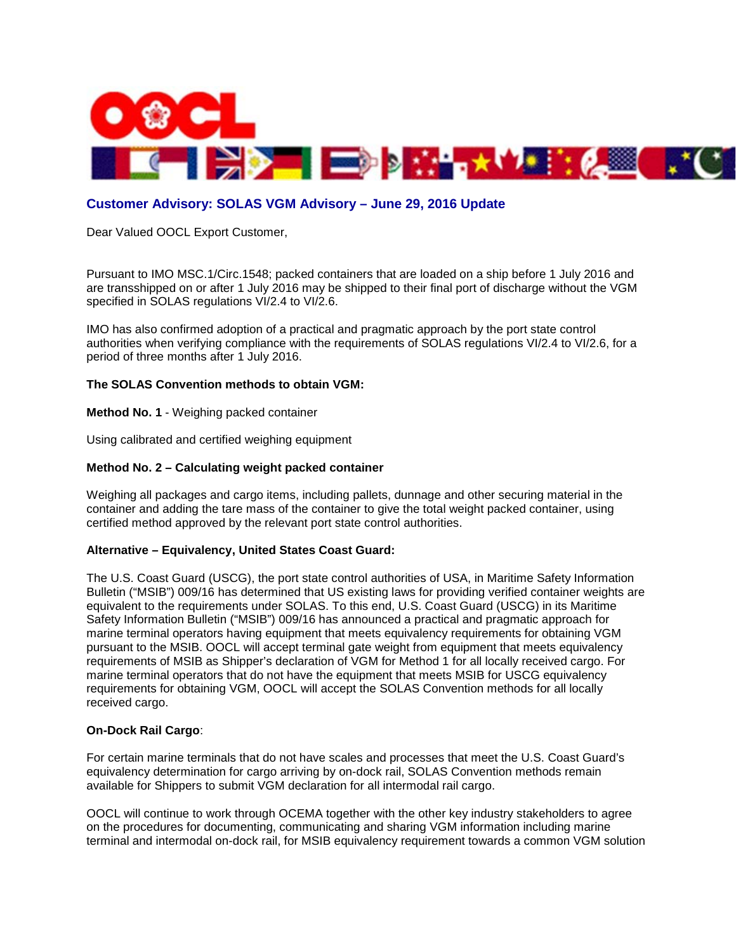

# **Customer Advisory: SOLAS VGM Advisory – June 29, 2016 Update**

Dear Valued OOCL Export Customer,

Pursuant to IMO MSC.1/Circ.1548; packed containers that are loaded on a ship before 1 July 2016 and are transshipped on or after 1 July 2016 may be shipped to their final port of discharge without the VGM specified in SOLAS regulations VI/2.4 to VI/2.6.

IMO has also confirmed adoption of a practical and pragmatic approach by the port state control authorities when verifying compliance with the requirements of SOLAS regulations VI/2.4 to VI/2.6, for a period of three months after 1 July 2016.

#### **The SOLAS Convention methods to obtain VGM:**

**Method No. 1** - Weighing packed container

Using calibrated and certified weighing equipment

#### **Method No. 2 – Calculating weight packed container**

Weighing all packages and cargo items, including pallets, dunnage and other securing material in the container and adding the tare mass of the container to give the total weight packed container, using certified method approved by the relevant port state control authorities.

#### **Alternative – Equivalency, United States Coast Guard:**

The U.S. Coast Guard (USCG), the port state control authorities of USA, in Maritime Safety Information Bulletin ("MSIB") 009/16 has determined that US existing laws for providing verified container weights are equivalent to the requirements under SOLAS. To this end, U.S. Coast Guard (USCG) in its Maritime Safety Information Bulletin ("MSIB") 009/16 has announced a practical and pragmatic approach for marine terminal operators having equipment that meets equivalency requirements for obtaining VGM pursuant to the MSIB. OOCL will accept terminal gate weight from equipment that meets equivalency requirements of MSIB as Shipper's declaration of VGM for Method 1 for all locally received cargo. For marine terminal operators that do not have the equipment that meets MSIB for USCG equivalency requirements for obtaining VGM, OOCL will accept the SOLAS Convention methods for all locally received cargo.

#### **On-Dock Rail Cargo**:

For certain marine terminals that do not have scales and processes that meet the U.S. Coast Guard's equivalency determination for cargo arriving by on-dock rail, SOLAS Convention methods remain available for Shippers to submit VGM declaration for all intermodal rail cargo.

OOCL will continue to work through OCEMA together with the other key industry stakeholders to agree on the procedures for documenting, communicating and sharing VGM information including marine terminal and intermodal on-dock rail, for MSIB equivalency requirement towards a common VGM solution